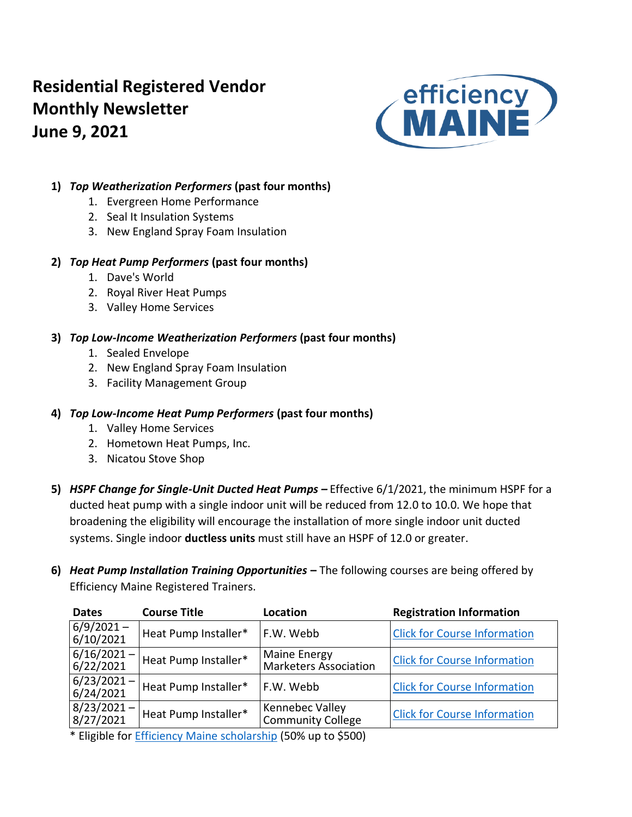# **Residential Registered Vendor Monthly Newsletter June 9, 2021**



## **1)** *Top Weatherization Performers* **(past four months)**

- 1. Evergreen Home Performance
- 2. Seal It Insulation Systems
- 3. New England Spray Foam Insulation

## **2)** *Top Heat Pump Performers* **(past four months)**

- 1. Dave's World
- 2. Royal River Heat Pumps
- 3. Valley Home Services

## **3)** *Top Low-Income Weatherization Performers* **(past four months)**

- 1. Sealed Envelope
- 2. New England Spray Foam Insulation
- 3. Facility Management Group

## **4)** *Top Low-Income Heat Pump Performers* **(past four months)**

- 1. Valley Home Services
- 2. Hometown Heat Pumps, Inc.
- 3. Nicatou Stove Shop
- **5)** *HSPF Change for Single-Unit Ducted Heat Pumps –* Effective 6/1/2021, the minimum HSPF for a ducted heat pump with a single indoor unit will be reduced from 12.0 to 10.0. We hope that broadening the eligibility will encourage the installation of more single indoor unit ducted systems. Single indoor **ductless units** must still have an HSPF of 12.0 or greater.
- **6)** *Heat Pump Installation Training Opportunities* **–** The following courses are being offered by Efficiency Maine Registered Trainers.

| <b>Registration Information</b>     | <b>Location</b>                                    | <b>Course Title</b>  | <b>Dates</b>               |
|-------------------------------------|----------------------------------------------------|----------------------|----------------------------|
| <b>Click for Course Information</b> | F.W. Webb                                          | Heat Pump Installer* | $6/9/2021 -$<br>6/10/2021  |
| <b>Click for Course Information</b> | Maine Energy<br><b>Marketers Association</b>       | Heat Pump Installer* | $6/16/2021 -$<br>6/22/2021 |
| <b>Click for Course Information</b> | F.W. Webb                                          | Heat Pump Installer* | $6/23/2021 -$<br>6/24/2021 |
| <b>Click for Course Information</b> | <b>Kennebec Valley</b><br><b>Community College</b> | Heat Pump Installer* | $8/23/2021 -$<br>8/27/2021 |
|                                     |                                                    |                      |                            |

\* Eligible for [Efficiency Maine scholarship](https://www.efficiencymaine.com/docs/RRV-Heat-Pump-Training-Scholarship-Application.pdf) (50% up to \$500)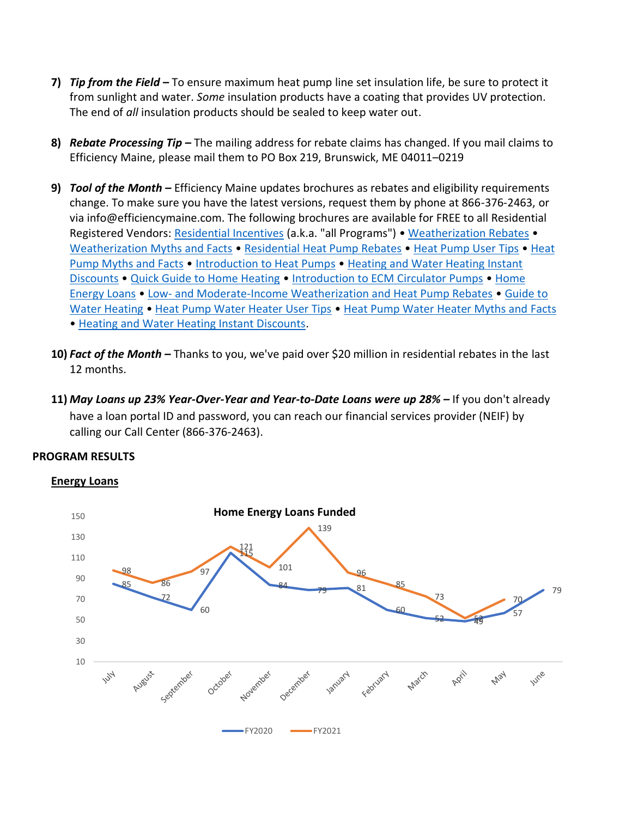- **7)** *Tip from the Field –* To ensure maximum heat pump line set insulation life, be sure to protect it from sunlight and water. *Some* insulation products have a coating that provides UV protection. The end of *all* insulation products should be sealed to keep water out.
- **8)** *Rebate Processing Tip –* The mailing address for rebate claims has changed. If you mail claims to Efficiency Maine, please mail them to PO Box 219, Brunswick, ME 04011–0219
- **9)** *Tool of the Month –* Efficiency Maine updates brochures as rebates and eligibility requirements change. To make sure you have the latest versions, request them by phone at 866-376-2463, or via info@efficiencymaine.com. The following brochures are available for FREE to all Residential Registered Vendors: [Residential Incentives](https://www.efficiencymaine.com/docs/All-Programs-Brochure.pdf) (a.k.a. "all Programs") • [Weatherization Rebates](https://www.efficiencymaine.com/docs/EM-Weatherization-Brochure.pdf) • [Weatherization Myths and Facts](https://www.efficiencymaine.com/docs/Weatherization-Myths-and-Facts.pdf) • [Residential Heat Pump Rebates](http://www.efficiencymaine.com/docs/Heat-Pump-Rebate-Brochure.pdf) • [Heat Pump User Tips](https://www.efficiencymaine.com/docs/Heat-Pump-User-Tips.pdf) • [Heat](https://www.efficiencymaine.com/docs/Heat-Pump-Myths-and-Facts.pdf)  [Pump Myths and Facts](https://www.efficiencymaine.com/docs/Heat-Pump-Myths-and-Facts.pdf) • [Introduction to Heat Pumps](https://www.efficiencymaine.com/docs/Introduction-to-Heat-Pumps.pdf) • [Heating and Water Heating Instant](https://www.efficiencymaine.com/docs/Heating-and-Water-Heating-Instant-Discounts.pdf)  [Discounts](https://www.efficiencymaine.com/docs/Heating-and-Water-Heating-Instant-Discounts.pdf) • [Quick Guide to Home Heating](https://www.efficiencymaine.com/docs/EM-Quick-Guide-to-Home-Heating.pdf) • [Introduction to ECM Circulator Pumps](https://www.efficiencymaine.com/docs/Introduction-to-ECM-Circulator-Pumps.pdf) • [Home](https://www.efficiencymaine.com/docs/EM-Home-Energy-Loans-Brochure.pdf)  [Energy Loans](https://www.efficiencymaine.com/docs/EM-Home-Energy-Loans-Brochure.pdf) • Low- [and Moderate-Income Weatherization and Heat Pump Rebates](https://www.efficiencymaine.com/docs/LMI-Air-Sealing-Heat-Pump-Rebates-Brochure.pdf) • [Guide](http://www.efficiencymaine.com/docs/EM-Guide-to-Water-Heating.pdf#2) to [Water Heating](http://www.efficiencymaine.com/docs/EM-Guide-to-Water-Heating.pdf#2) • [Heat Pump Water Heater User Tips](http://www.efficiencymaine.com/docs/EM_HPWH_User_Tips.pdf) • [Heat Pump Water Heater Myths and Facts](http://www.efficiencymaine.com/docs/EM-Heat-Pump-Water-Heater-Myths-Facts.pdf) • [Heating and Water Heating Instant Discounts.](https://www.efficiencymaine.com/docs/Heating-and-Water-Heating-Instant-Discounts.pdf)
- **10)** *Fact of the Month –* Thanks to you, we've paid over \$20 million in residential rebates in the last 12 months.
- **11)** *May Loans up 23% Year-Over-Year and Year-to-Date Loans were up 28% –* If you don't already have a loan portal ID and password, you can reach our financial services provider (NEIF) by calling our Call Center (866-376-2463).

## **PROGRAM RESULTS**

#### **Energy Loans**

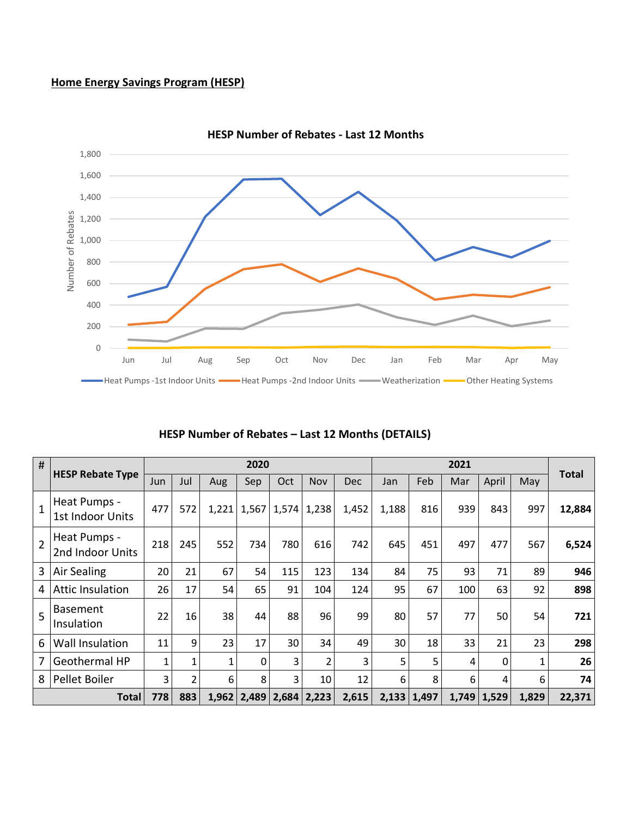### **Home Energy Savings Program (HESP)**



**HESP Number of Rebates - Last 12 Months**

| #              |                                  |     |     |     | 2020            |               |       |            |       |               | 2021            |       |       |              |
|----------------|----------------------------------|-----|-----|-----|-----------------|---------------|-------|------------|-------|---------------|-----------------|-------|-------|--------------|
|                | <b>HESP Rebate Type</b>          |     | Jul | Aug | Sep             | Oct           | Nov   | <b>Dec</b> | Jan   | Feb           | Mar             | April | May   | <b>Total</b> |
|                | Heat Pumps -<br>1st Indoor Units | 477 | 572 |     | $1,221$ 1,567   | 1,574         | 1,238 | 1,452      | 1,188 | 816           | 939             | 843   | 997   | 12,884       |
|                | Heat Pumps -<br>2nd Indoor Units | 218 | 245 | 552 | 734             | 780           | 616   | 742        | 645   | 451           | 497             | 477   | 567   | 6,524        |
| 3 <sup>1</sup> | Air Sealing                      | 20  | 21  | 67  | 54              | 115           | 123   | 134        | 84    | 75            | 93              | 71    | 89    | 946          |
|                | <b>Attic Insulation</b>          | 26  | 17  | 54  | 65              | 91            | 104   | 124        | 95    | 67            | 100             | 63    | 92    | 898          |
| $\overline{5}$ | <b>Basement</b><br>Insulation    | 22  | 16  | 38  | 44              | 88            | 96    | 99         | 80    | 57            | 77              | 50    | 54    | 721          |
| 6              | <b>Wall Insulation</b>           | 11  | 9   | 23  | 17              | 30            | 34    | 49         | 30    | 18            | 33              | 21    | 23    | 298          |
|                | <b>Geothermal HP</b>             |     |     | 1   | 0               | 3             | 2     | 3          | 5     | 5             | 4               | 0     |       | 26           |
| 8              | Pellet Boiler                    | 3   | 2   | 6   | 8               | 3             | 10    | 12         | 6     | 8             | 6               | 4     | 6     | 74           |
|                | <b>Total</b>                     |     | 883 |     | $1,962$   2,489 | $2,684$ 2,223 |       | 2,615      |       | $2,133$ 1,497 | $1,749$   1,529 |       | 1,829 | 22,371       |

#### **HESP Number of Rebates – Last 12 Months (DETAILS)**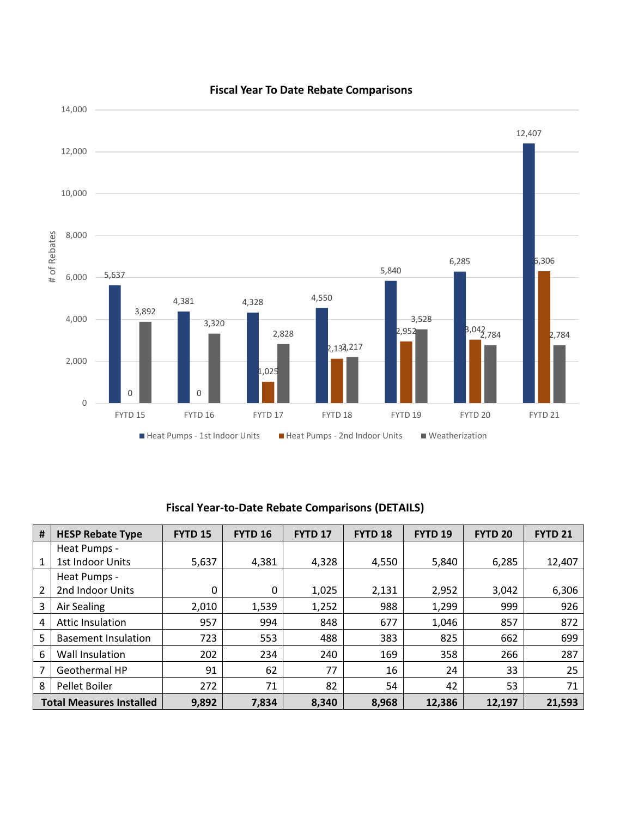

#### **Fiscal Year To Date Rebate Comparisons**

## **Fiscal Year-to-Date Rebate Comparisons (DETAILS)**

| #                               | <b>HESP Rebate Type</b>    | FYTD <sub>18</sub><br><b>FYTD 15</b><br><b>FYTD 16</b><br><b>FYTD 17</b> |       |       |       | FYTD <sub>19</sub> | <b>FYTD 20</b> | <b>FYTD 21</b> |
|---------------------------------|----------------------------|--------------------------------------------------------------------------|-------|-------|-------|--------------------|----------------|----------------|
|                                 | Heat Pumps -               |                                                                          |       |       |       |                    |                |                |
| 1                               | 1st Indoor Units           | 5,637                                                                    | 4,381 | 4,328 | 4,550 | 5,840              | 6,285          | 12,407         |
|                                 | Heat Pumps -               |                                                                          |       |       |       |                    |                |                |
| 2                               | 2nd Indoor Units           | 0                                                                        | 0     | 1,025 | 2,131 | 2,952              | 3,042          | 6,306          |
| 3                               | Air Sealing                | 2,010                                                                    | 1,539 | 1,252 | 988   | 1,299              | 999            | 926            |
| $\overline{4}$                  | <b>Attic Insulation</b>    | 957                                                                      | 994   | 848   | 677   | 1,046              | 857            | 872            |
| 5                               | <b>Basement Insulation</b> | 723                                                                      | 553   | 488   | 383   | 825                | 662            | 699            |
| 6                               | Wall Insulation            | 202                                                                      | 234   | 240   | 169   | 358                | 266            | 287            |
| 7                               | Geothermal HP              | 91                                                                       | 62    | 77    | 16    | 24                 | 33             | 25             |
| 8                               | Pellet Boiler              | 272                                                                      | 71    | 82    | 54    | 42                 | 53             | 71             |
| <b>Total Measures Installed</b> |                            | 9,892                                                                    | 7,834 | 8,340 | 8,968 | 12,386             | 12,197         | 21,593         |